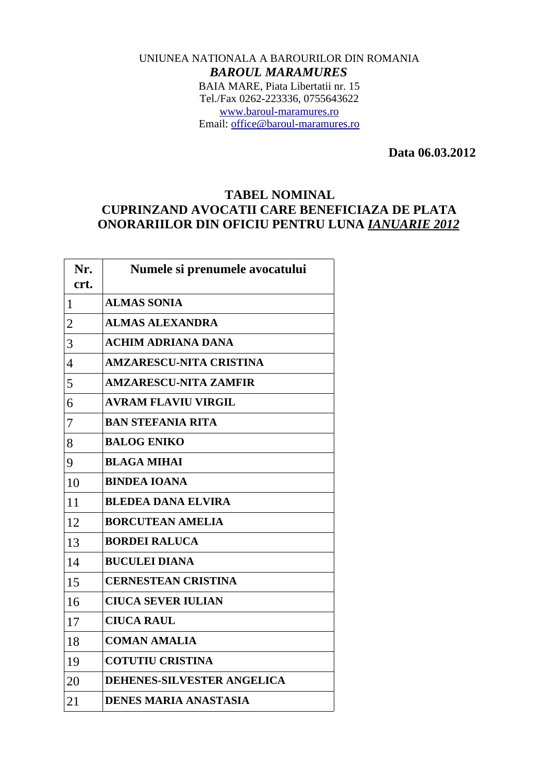## UNIUNEA NATIONALA A BAROURILOR DIN ROMANIA *BAROUL MARAMURES* BAIA MARE, Piata Libertatii nr. 15 Tel./Fax 0262-223336, 0755643622 [www.baroul-maramures.ro](http://www.baroul-maramures.ro/) Email: [office@baroul-maramures.ro](mailto:office@baroul-maramures.ro)

 **Data 06.03.2012**

## **TABEL NOMINAL CUPRINZAND AVOCATII CARE BENEFICIAZA DE PLATA ONORARIILOR DIN OFICIU PENTRU LUNA** *IANUARIE 2012*

| Nr.<br>crt.    | Numele si prenumele avocatului    |
|----------------|-----------------------------------|
| $\mathbf{1}$   | <b>ALMAS SONIA</b>                |
| $\overline{2}$ | <b>ALMAS ALEXANDRA</b>            |
| 3              | <b>ACHIM ADRIANA DANA</b>         |
| $\overline{4}$ | <b>AMZARESCU-NITA CRISTINA</b>    |
| 5              | <b>AMZARESCU-NITA ZAMFIR</b>      |
| 6              | <b>AVRAM FLAVIU VIRGIL</b>        |
| 7              | <b>BAN STEFANIA RITA</b>          |
| 8              | <b>BALOG ENIKO</b>                |
| 9              | <b>BLAGA MIHAI</b>                |
| 10             | <b>BINDEA IOANA</b>               |
| 11             | <b>BLEDEA DANA ELVIRA</b>         |
| 12             | <b>BORCUTEAN AMELIA</b>           |
| 13             | <b>BORDEI RALUCA</b>              |
| 14             | <b>BUCULEI DIANA</b>              |
| 15             | <b>CERNESTEAN CRISTINA</b>        |
| 16             | <b>CIUCA SEVER IULIAN</b>         |
| 17             | <b>CIUCA RAUL</b>                 |
| 18             | <b>COMAN AMALIA</b>               |
| 19             | <b>COTUTIU CRISTINA</b>           |
| 20             | <b>DEHENES-SILVESTER ANGELICA</b> |
| 21             | <b>DENES MARIA ANASTASIA</b>      |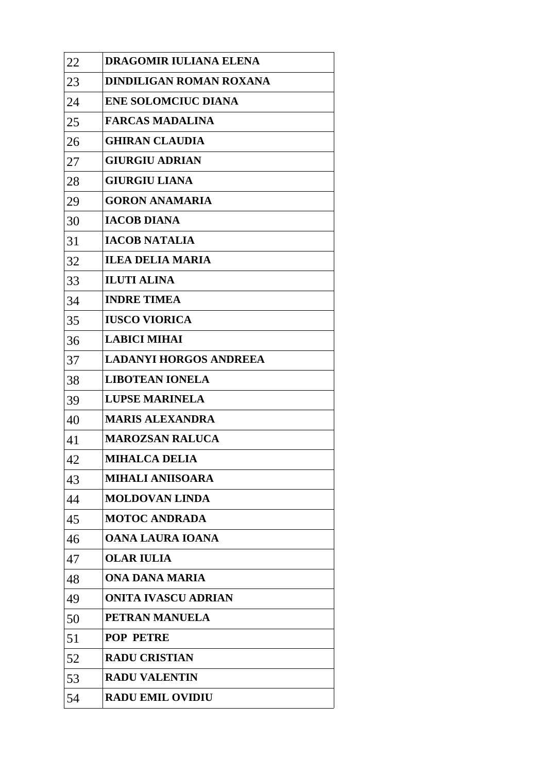| 22 | DRAGOMIR IULIANA ELENA        |
|----|-------------------------------|
| 23 | DINDILIGAN ROMAN ROXANA       |
| 24 | <b>ENE SOLOMCIUC DIANA</b>    |
| 25 | <b>FARCAS MADALINA</b>        |
| 26 | <b>GHIRAN CLAUDIA</b>         |
| 27 | <b>GIURGIU ADRIAN</b>         |
| 28 | <b>GIURGIU LIANA</b>          |
| 29 | <b>GORON ANAMARIA</b>         |
| 30 | <b>IACOB DIANA</b>            |
| 31 | <b>IACOB NATALIA</b>          |
| 32 | <b>ILEA DELIA MARIA</b>       |
| 33 | <b>ILUTI ALINA</b>            |
| 34 | <b>INDRE TIMEA</b>            |
| 35 | <b>IUSCO VIORICA</b>          |
| 36 | <b>LABICI MIHAI</b>           |
| 37 | <b>LADANYI HORGOS ANDREEA</b> |
| 38 | <b>LIBOTEAN IONELA</b>        |
| 39 | <b>LUPSE MARINELA</b>         |
| 40 | <b>MARIS ALEXANDRA</b>        |
| 41 | <b>MAROZSAN RALUCA</b>        |
| 42 | <b>MIHALCA DELIA</b>          |
| 43 | <b>MIHALI ANIISOARA</b>       |
| 44 | <b>MOLDOVAN LINDA</b>         |
| 45 | <b>MOTOC ANDRADA</b>          |
| 46 | <b>OANA LAURA IOANA</b>       |
| 47 | <b>OLAR IULIA</b>             |
| 48 | ONA DANA MARIA                |
| 49 | <b>ONITA IVASCU ADRIAN</b>    |
| 50 | PETRAN MANUELA                |
| 51 | <b>POP PETRE</b>              |
| 52 | <b>RADU CRISTIAN</b>          |
| 53 | <b>RADU VALENTIN</b>          |
| 54 | <b>RADU EMIL OVIDIU</b>       |